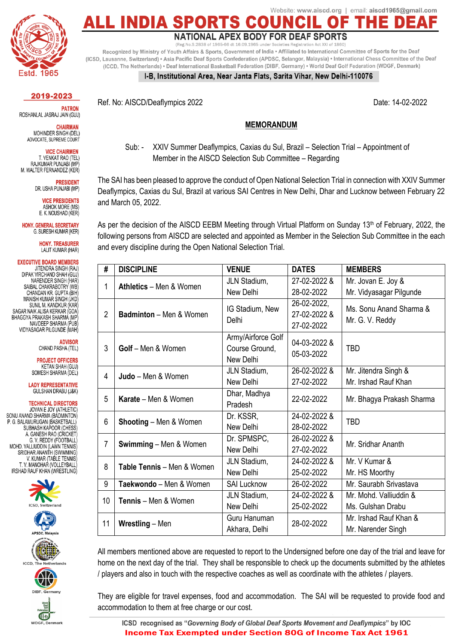

Website: www.aiscd.org | email: aiscd1965@gmail.com NDIA

**NATIONAL APEX BODY FOR DEAF SPORTS** 

Recognized by Ministry of Youth Affairs & Sports, Government of India · Affiliated to International Committee of Sports for the Deaf (ICSD, Lausanne, Switzerland) • Asia Pacific Deaf Sports Confederation (APDSC, Selangor, Malaysia) • International Chess Committee of the Deaf (ICCD, The Netherlands) • Deaf International Basketball Federation (DIBF, Germany) • World Deaf Golf Federation (WDGF, Denmark)

## I-B, Institutional Area, Near Janta Flats, Sarita Vihar, New Delhi-110076

2019-2023

**PATRON** ROSHANLAL JASRAJ JAIN (GUJ)

**CHAIRMAN** MOHINDER SINGH (DEL) ADVOCATE, SUPREME COURT

**VICE CHAIRMEN** T. VENKAT RAO (TEL) RAJKUMAR PUNJABI (MP M. WALTER FERNANDEZ (KER)

> **PRESIDENT** DR. USHA PUNJABI (MP)

> > **VICE PRESIDENTS** ASHOK MORE (MS) E. K. NOUSHAD (KER)

**HONY, GENERAL SECRETARY** G. SURESH KUMAR (KER)

> HONY TREASURER LALIT KUMAR (HAR)

**EXECUTIVE BOARD MEMBERS** JITENDRA SINGH (RAJ) DIPAK VIRCHAND SHAH (GUJ) NARENDER SINGH (HAR) SAIRAL CHAKRAROTRY (WR) CHANDAN KR. GUPTA (BIH) MANISH KUMAR SINGH (JKD) SUNIL M. KANDKUR (KAR) SAGAR NAIK ALISA KERKAR (GOA BHAGGYA PRAKASH SHARMA (MP NAVDEEP SHARMA (PUB) VIDYASAGAR PILGUNDE (MAH)

> **ADVISOR** CHAND PASHA (TEL)

**PROJECT OFFICERS KFTAN SHAH (GUJ)** SOMESH SHARMA (DEL)

**I ADY REPRESENTATIVE** GULSHAN DRABU (J&K)

**TECHNICAL DIRECTORS** JOVAN E JOY (ATHLETIC)<br>SONU ANAND SHARMA (BADMINTON) P. G. BALAMURUGAN (BASKETBALL) SUBHASH KAPOOR (CHESS) A. GANESH RAO (CRICKET) G. V. REDDY (FOOTBALL MOHD. VALLIUDDIN (LAWN TENNIS) SRIDHAR ANANTH (SWIMMING) V. KUMAR (TABLE TENNIS) T. V. MANOHAR (VOLLEYBALL IRSHAD RAUF KHAN (WRESTLING)







Ref. No: AISCD/Deaflympics 2022 **Date: 14-02-2022** Date: 14-02-2022

## **MEMORANDUM**

Sub: - XXIV Summer Deaflympics, Caxias du Sul, Brazil – Selection Trial – Appointment of Member in the AISCD Selection Sub Committee – Regarding

The SAI has been pleased to approve the conduct of Open National Selection Trial in connection with XXIV Summer Deaflympics, Caxias du Sul, Brazil at various SAI Centres in New Delhi, Dhar and Lucknow between February 22 and March 05, 2022.

As per the decision of the AISCD EEBM Meeting through Virtual Platform on Sunday 13<sup>th</sup> of February, 2022, the following persons from AISCD are selected and appointed as Member in the Selection Sub Committee in the each and every discipline during the Open National Selection Trial.

| #              | <b>DISCIPLINE</b>                 | <b>VENUE</b>             | <b>DATES</b>             | <b>MEMBERS</b>                             |
|----------------|-----------------------------------|--------------------------|--------------------------|--------------------------------------------|
| 1              | <b>Athletics</b> – Men & Women    | JLN Stadium,             | 27-02-2022 &             | Mr. Jovan E. Joy &                         |
|                |                                   | New Delhi                | 28-02-2022               | Mr. Vidyasagar Pilgunde                    |
| $\overline{2}$ | <b>Badminton</b> - Men & Women    | IG Stadium, New<br>Delhi | 26-02-2022,              | Ms. Sonu Anand Sharma &<br>Mr. G. V. Reddy |
|                |                                   |                          | 27-02-2022 &             |                                            |
|                |                                   |                          | 27-02-2022               |                                            |
| 3              | Golf - Men & Women                | Army/Airforce Golf       | 04-03-2022 &             |                                            |
|                |                                   | Course Ground,           | <b>TBD</b><br>05-03-2022 |                                            |
|                |                                   | New Delhi                |                          |                                            |
| 4              | Judo - Men & Women                | JLN Stadium,             | 26-02-2022 &             | Mr. Jitendra Singh &                       |
|                |                                   | New Delhi                | 27-02-2022               | Mr. Irshad Rauf Khan                       |
| 5              | <b>Karate</b> – Men & Women       | Dhar, Madhya             | 22-02-2022               | Mr. Bhagya Prakash Sharma                  |
|                |                                   | Pradesh                  |                          |                                            |
| 6              | <b>Shooting</b> – Men & Women     | Dr. KSSR,                | 24-02-2022 &             | <b>TBD</b>                                 |
|                |                                   | New Delhi                | 28-02-2022               |                                            |
| $\overline{7}$ | <b>Swimming - Men &amp; Women</b> | Dr. SPMSPC,              | 26-02-2022 &             | Mr. Sridhar Ananth                         |
|                |                                   | New Delhi                | 27-02-2022               |                                            |
| 8              | Table Tennis - Men & Women        | JLN Stadium,             | 24-02-2022 &             | Mr. V Kumar &                              |
|                |                                   | New Delhi                | 25-02-2022               | Mr. HS Moorthy                             |
| 9              | Taekwondo - Men & Women           | <b>SAI Lucknow</b>       | 26-02-2022               | Mr. Saurabh Srivastava                     |
| 10             | <b>Tennis</b> - Men & Women       | JLN Stadium,             | 24-02-2022 &             | Mr. Mohd. Valliuddin &                     |
|                |                                   | New Delhi                | 25-02-2022               | Ms. Gulshan Drabu                          |
| 11             | <b>Wrestling - Men</b>            | Guru Hanuman             | 28-02-2022               | Mr. Irshad Rauf Khan &                     |
|                |                                   | Akhara, Delhi            |                          | Mr. Narender Singh                         |

All members mentioned above are requested to report to the Undersigned before one day of the trial and leave for home on the next day of the trial. They shall be responsible to check up the documents submitted by the athletes / players and also in touch with the respective coaches as well as coordinate with the athletes / players.

They are eligible for travel expenses, food and accommodation. The SAI will be requested to provide food and accommodation to them at free charge or our cost.

ICSD recognised as "Governing Body of Global Deaf Sports Movement and Deaflympics" by IOC **Income Tax Exempted under Section 80G of Income Tax Act 1961**